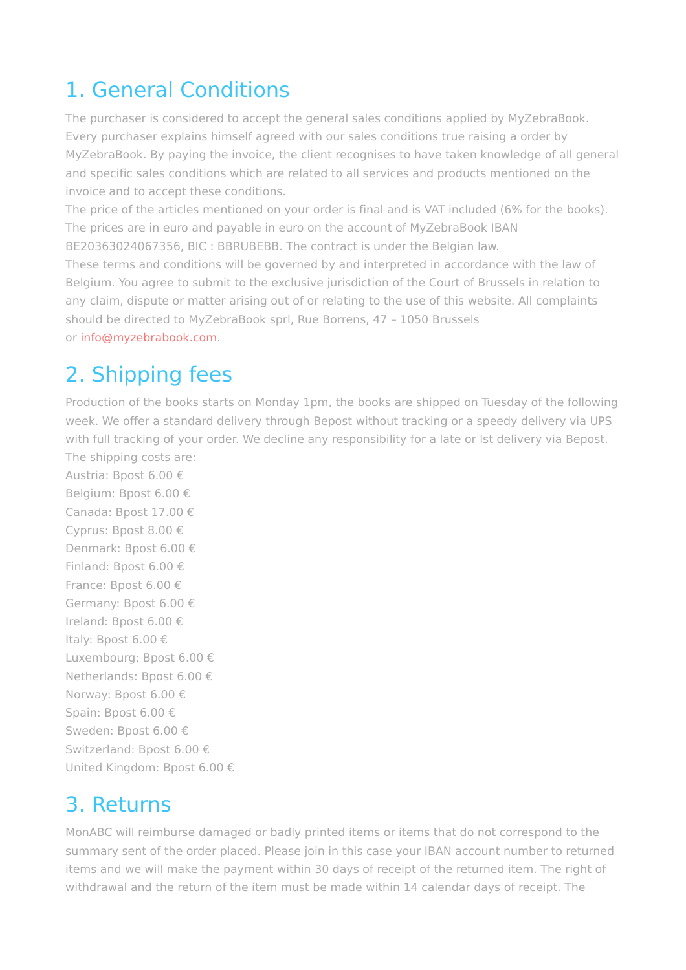#### 1. General Conditions

The purchaser is considered to accept the general sales conditions applied by MyZebraBook. Every purchaser explains himself agreed with our sales conditions true raising a order by MyZebraBook. By paying the invoice, the client recognises to have taken knowledge of all general and specific sales conditions which are related to all services and products mentioned on the invoice and to accept these conditions.

The price of the articles mentioned on your order is final and is VAT included (6% for the books). The prices are in euro and payable in euro on the account of MyZebraBook IBAN BE20363024067356, BIC : BBRUBEBB. The contract is under the Belgian law.

These terms and conditions will be governed by and interpreted in accordance with the law of Belgium. You agree to submit to the exclusive jurisdiction of the Court of Brussels in relation to any claim, dispute or matter arising out of or relating to the use of this website. All complaints should be directed to MyZebraBook sprl, Rue Borrens, 47 – 1050 Brussels

or [info@myzebrabook.com.](mailto:info@myzebrabook.com)

## 2. Shipping fees

Production of the books starts on Monday 1pm, the books are shipped on Tuesday of the following week. We offer a standard delivery through Bepost without tracking or a speedy delivery via UPS with full tracking of your order. We decline any responsibility for a late or lst delivery via Bepost. The shipping costs are:

Austria: Bpost 6.00 € Belgium: Bpost 6.00 € Canada: Bpost 17.00 € Cyprus: Bpost 8.00 € Denmark: Bpost 6.00 € Finland: Bpost 6.00 € France: Bpost 6.00 € Germany: Bpost 6.00 € Ireland: Bpost 6.00 € Italy: Bpost 6.00 € Luxembourg: Bpost 6.00 € Netherlands: Bpost 6.00 € Norway: Bpost 6.00 € Spain: Bpost 6.00 € Sweden: Bpost 6.00 € Switzerland: Bpost 6.00 € United Kingdom: Bpost 6.00 €

#### 3. Returns

MonABC will reimburse damaged or badly printed items or items that do not correspond to the summary sent of the order placed. Please join in this case your IBAN account number to returned items and we will make the payment within 30 days of receipt of the returned item. The right of withdrawal and the return of the item must be made within 14 calendar days of receipt. The